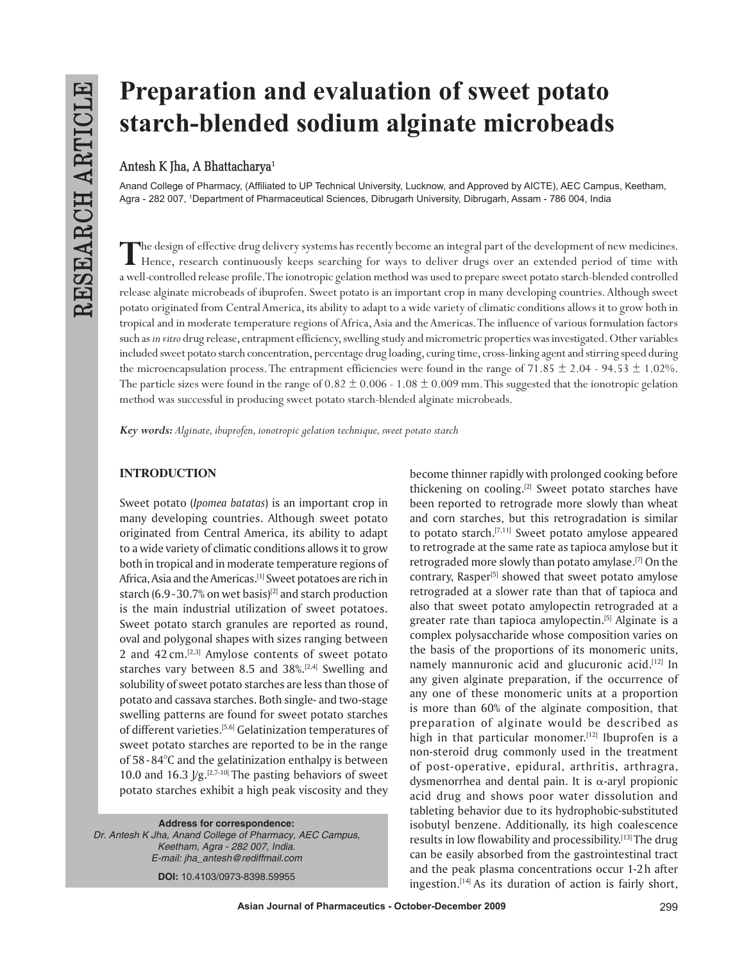# **Preparation and evaluation of sweet potato starch-blended sodium alginate microbeads**

# **Antesh K Jha, A Bhattacharya1**

Anand College of Pharmacy, (Affiliated to UP Technical University, Lucknow, and Approved by AICTE), AEC Campus, Keetham, Agra - 282 007, 1 Department of Pharmaceutical Sciences, Dibrugarh University, Dibrugarh, Assam - 786 004, India

The design of effective drug delivery systems has recently become an integral part of the development of new medicines.<br>Hence, research continuously keeps searching for ways to deliver drugs over an extended period of time awell-controlled release profile. The ionotropic gelation method was used to prepare sweet potato starch-blended controlled release alginate microbeads of ibuprofen. Sweet potato is an important crop in many developing countries. Although sweet potato originated from Central America, its ability to adapt to a wide variety of climatic conditions allows it to grow both in tropical and in moderate temperature regions of Africa, Asia and the Americas. The influence of various formulation factors such as *in vitro* drug release, entrapment efficiency, swelling study and micrometric properties was investigated. Other variables included sweet potato starch concentration, percentage drug loading, curing time, cross-linking agent and stirring speed during the microencapsulation process. The entrapment efficiencies were found in the range of  $71.85 \pm 2.04$  - 94.53  $\pm$  1.02%. The particle sizes were found in the range of  $0.82 \pm 0.006 - 1.08 \pm 0.009$  mm. This suggested that the ionotropic gelation method was successful in producing sweet potato starch-blended alginate microbeads.

*Key words: Alginate, ibuprofen, ionotropic gelation technique, sweet potato starch*

### **INTRODUCTION**

Sweet potato (*Ipomea batatas*) is an important crop in many developing countries. Although sweet potato originated from Central America, its ability to adapt to a wide variety of climatic conditions allows it to grow both in tropical and in moderate temperature regions of Africa, Asia and the Americas.<sup>[1]</sup> Sweet potatoes are rich in starch (6.9 - 30.7% on wet basis)<sup>[2]</sup> and starch production is the main industrial utilization of sweet potatoes. Sweet potato starch granules are reported as round, oval and polygonal shapes with sizes ranging between 2 and 42 cm.[2,3] Amylose contents of sweet potato starches vary between 8.5 and  $38\%$ .<sup>[2,4]</sup> Swelling and solubility of sweet potato starches are less than those of potato and cassava starches. Both single- and two-stage swelling patterns are found for sweet potato starches of different varieties.[5,6] Gelatinization temperatures of sweet potato starches are reported to be in the range of 58-84°C and the gelatinization enthalpy is between 10.0 and 16.3  $J/g$ .<sup>[2,7-10]</sup> The pasting behaviors of sweet potato starches exhibit a high peak viscosity and they

**Address for correspondence:** *Dr. Antesh K Jha, Anand College of Pharmacy, AEC Campus, Keetham, Agra - 282 007, India. E-mail: jha\_antesh@rediffmail.com* **DOI:** 10.4103/0973-8398.59955

become thinner rapidly with prolonged cooking before thickening on cooling.<sup>[2]</sup> Sweet potato starches have been reported to retrograde more slowly than wheat and corn starches, but this retrogradation is similar to potato starch.[7,11] Sweet potato amylose appeared to retrograde at the same rate as tapioca amylose but it retrograded more slowly than potato amylase.[7] On the contrary, Rasper<sup>[5]</sup> showed that sweet potato amylose retrograded at a slower rate than that of tapioca and also that sweet potato amylopectin retrograded at a greater rate than tapioca amylopectin.<sup>[5]</sup> Alginate is a complex polysaccharide whose composition varies on the basis of the proportions of its monomeric units, namely mannuronic acid and glucuronic acid.[12] In any given alginate preparation, if the occurrence of any one of these monomeric units at a proportion is more than 60% of the alginate composition, that preparation of alginate would be described as high in that particular monomer.[12] Ibuprofen is a non-steroid drug commonly used in the treatment of post-operative, epidural, arthritis, arthragra, dysmenorrhea and dental pain. It is  $\alpha$ -aryl propionic acid drug and shows poor water dissolution and tableting behavior due to its hydrophobic-substituted isobutyl benzene. Additionally, its high coalescence results in low flowability and processibility.[13] The drug can be easily absorbed from the gastrointestinal tract and the peak plasma concentrations occur 1-2h after ingestion. $[14]$  As its duration of action is fairly short,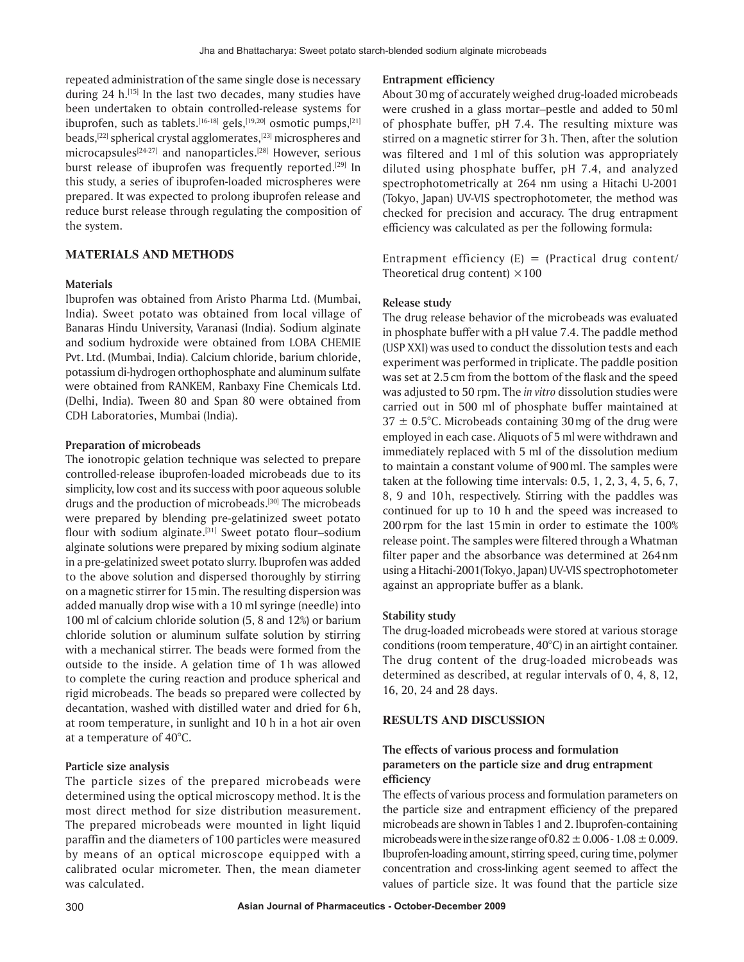repeated administration of the same single dose is necessary during 24 h.<sup>[15]</sup> In the last two decades, many studies have been undertaken to obtain controlled-release systems for ibuprofen, such as tablets.<sup>[16-18]</sup> gels,<sup>[19,20]</sup> osmotic pumps,<sup>[21]</sup> beads,[22] spherical crystal agglomerates,[23] microspheres and microcapsules<sup>[24-27]</sup> and nanoparticles.<sup>[28]</sup> However, serious burst release of ibuprofen was frequently reported.<sup>[29]</sup> In this study, a series of ibuprofen-loaded microspheres were prepared. It was expected to prolong ibuprofen release and reduce burst release through regulating the composition of the system.

# **MATERIALS AND METHODS**

#### **Materials**

Ibuprofen was obtained from Aristo Pharma Ltd. (Mumbai, India). Sweet potato was obtained from local village of Banaras Hindu University, Varanasi (India). Sodium alginate and sodium hydroxide were obtained from LOBA CHEMIE Pvt. Ltd. (Mumbai, India). Calcium chloride, barium chloride, potassium di-hydrogen orthophosphate and aluminum sulfate were obtained from RANKEM, Ranbaxy Fine Chemicals Ltd. (Delhi, India). Tween 80 and Span 80 were obtained from CDH Laboratories, Mumbai (India).

#### **Preparation of microbeads**

The ionotropic gelation technique was selected to prepare controlled-release ibuprofen-loaded microbeads due to its simplicity, low cost and its success with poor aqueous soluble drugs and the production of microbeads.[30] The microbeads were prepared by blending pre-gelatinized sweet potato flour with sodium alginate.<sup>[31]</sup> Sweet potato flour-sodium alginate solutions were prepared by mixing sodium alginate in a pre-gelatinized sweet potato slurry. Ibuprofen was added to the above solution and dispersed thoroughly by stirring on a magnetic stirrer for 15min. The resulting dispersion was added manually drop wise with a 10 ml syringe (needle) into 100 ml of calcium chloride solution (5, 8 and 12%) or barium chloride solution or aluminum sulfate solution by stirring with a mechanical stirrer. The beads were formed from the outside to the inside. A gelation time of 1h was allowed to complete the curing reaction and produce spherical and rigid microbeads. The beads so prepared were collected by decantation, washed with distilled water and dried for 6h, at room temperature, in sunlight and 10 h in a hot air oven at a temperature of 40°C.

#### **Particle size analysis**

The particle sizes of the prepared microbeads were determined using the optical microscopy method. It is the most direct method for size distribution measurement. The prepared microbeads were mounted in light liquid paraffin and the diameters of 100 particles were measured by means of an optical microscope equipped with a calibrated ocular micrometer. Then, the mean diameter was calculated.

#### **Entrapment efficiency**

About 30mg of accurately weighed drug-loaded microbeads were crushed in a glass mortar–pestle and added to 50ml of phosphate buffer, pH 7.4. The resulting mixture was stirred on a magnetic stirrer for 3h. Then, after the solution was filtered and 1ml of this solution was appropriately diluted using phosphate buffer, pH 7.4, and analyzed spectrophotometrically at 264 nm using a Hitachi U-2001 (Tokyo, Japan) UV-VIS spectrophotometer, the method was checked for precision and accuracy. The drug entrapment efficiency was calculated as per the following formula:

Entrapment efficiency  $(E) =$  (Practical drug content/ Theoretical drug content)  $\times$  100

### **Release study**

The drug release behavior of the microbeads was evaluated in phosphate buffer with a pH value 7.4. The paddle method (USP XXI) was used to conduct the dissolution tests and each experiment was performed in triplicate. The paddle position was set at 2.5cm from the bottom of the flask and the speed was adjusted to 50 rpm. The *in vitro* dissolution studies were carried out in 500 ml of phosphate buffer maintained at  $37 \pm 0.5^{\circ}$ C. Microbeads containing 30 mg of the drug were employed in each case. Aliquots of 5 ml were withdrawn and immediately replaced with 5 ml of the dissolution medium to maintain a constant volume of 900ml. The samples were taken at the following time intervals: 0.5, 1, 2, 3, 4, 5, 6, 7, 8, 9 and 10h, respectively. Stirring with the paddles was continued for up to 10 h and the speed was increased to 200rpm for the last 15min in order to estimate the 100% release point. The samples were filtered through a Whatman filter paper and the absorbance was determined at 264nm using a Hitachi-2001(Tokyo, Japan) UV-VIS spectrophotometer against an appropriate buffer as a blank.

#### **Stability study**

The drug-loaded microbeads were stored at various storage conditions (room temperature, 40°C) in an airtight container. The drug content of the drug-loaded microbeads was determined as described, at regular intervals of 0, 4, 8, 12, 16, 20, 24 and 28 days.

#### **RESULTS AND DISCUSSION**

# **The effects of various process and formulation parameters on the particle size and drug entrapment efficiency**

The effects of various process and formulation parameters on the particle size and entrapment efficiency of the prepared microbeads are shown in Tables 1 and 2. Ibuprofen-containing microbeads were in the size range of  $0.82 \pm 0.006$  -  $1.08 \pm 0.009$ . Ibuprofen-loading amount, stirring speed, curing time, polymer concentration and cross-linking agent seemed to affect the values of particle size. It was found that the particle size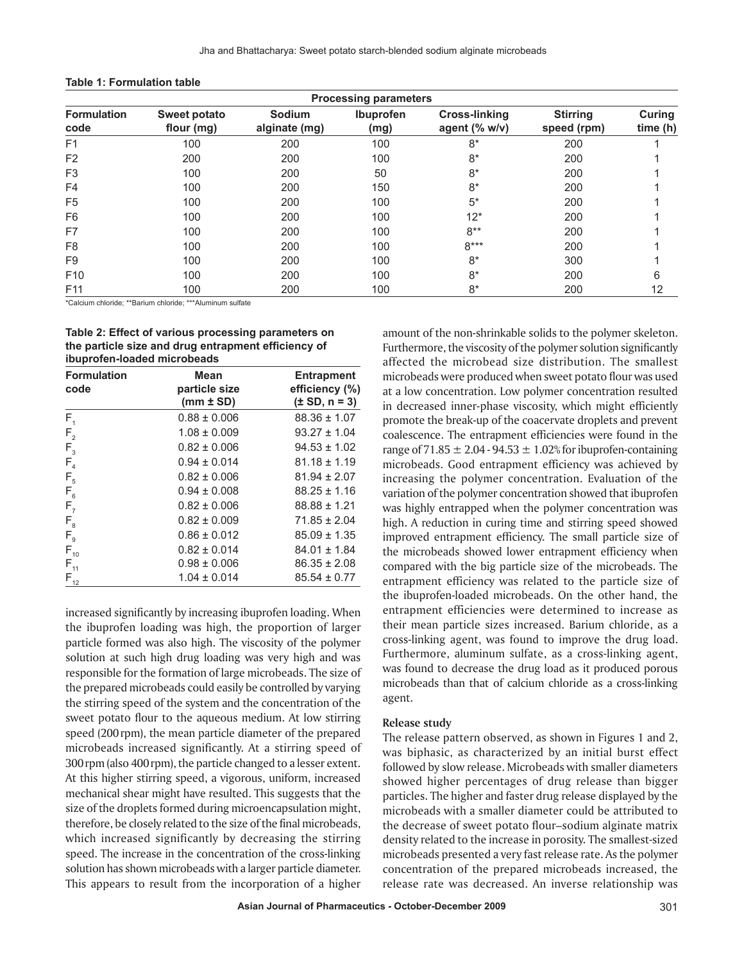| <b>Processing parameters</b> |                            |                                |                          |                                         |                                |                           |  |
|------------------------------|----------------------------|--------------------------------|--------------------------|-----------------------------------------|--------------------------------|---------------------------|--|
| <b>Formulation</b><br>code   | Sweet potato<br>flour (mg) | <b>Sodium</b><br>alginate (mg) | <b>Ibuprofen</b><br>(mg) | <b>Cross-linking</b><br>agent $(%$ w/v) | <b>Stirring</b><br>speed (rpm) | <b>Curing</b><br>time (h) |  |
| F <sub>1</sub>               | 100                        | 200                            | 100                      | $8*$                                    | 200                            |                           |  |
| F <sub>2</sub>               | 200                        | 200                            | 100                      | $8*$                                    | 200                            |                           |  |
| F <sub>3</sub>               | 100                        | 200                            | 50                       | $8*$                                    | 200                            |                           |  |
| F4                           | 100                        | 200                            | 150                      | $8*$                                    | 200                            |                           |  |
| F <sub>5</sub>               | 100                        | 200                            | 100                      | $5*$                                    | 200                            |                           |  |
| F <sub>6</sub>               | 100                        | 200                            | 100                      | $12*$                                   | 200                            |                           |  |
| F7                           | 100                        | 200                            | 100                      | $8**$                                   | 200                            |                           |  |
| F <sub>8</sub>               | 100                        | 200                            | 100                      | $8***$                                  | 200                            |                           |  |
| F <sub>9</sub>               | 100                        | 200                            | 100                      | $8*$                                    | 300                            |                           |  |
| F <sub>10</sub>              | 100                        | 200                            | 100                      | $8*$                                    | 200                            | 6                         |  |
| F <sub>11</sub>              | 100                        | 200                            | 100                      | $8*$                                    | 200                            | 12                        |  |

#### **Table 1: Formulation table**

\*Calcium chloride; \*\*Barium chloride; \*\*\*Aluminum sulfate

| Table 2: Effect of various processing parameters on |  |  |  |  |
|-----------------------------------------------------|--|--|--|--|
| the particle size and drug entrapment efficiency of |  |  |  |  |
| ibuprofen-loaded microbeads                         |  |  |  |  |

| <b>Formulation</b><br>code | Mean<br>particle size<br>$(mm \pm SD)$ | <b>Entrapment</b><br>efficiency (%)<br>$(± SD, n = 3)$ |  |
|----------------------------|----------------------------------------|--------------------------------------------------------|--|
| $F_{1}$                    | $0.88 \pm 0.006$                       | $88.36 \pm 1.07$                                       |  |
| F <sub>2</sub>             | $1.08 \pm 0.009$                       | $93.27 \pm 1.04$                                       |  |
| $F_{3}$                    | $0.82 \pm 0.006$                       | $94.53 \pm 1.02$                                       |  |
| F <sub>4</sub>             | $0.94 \pm 0.014$                       | $81.18 \pm 1.19$                                       |  |
| $F_{5}$                    | $0.82 \pm 0.006$                       | $81.94 \pm 2.07$                                       |  |
| $F_6$                      | $0.94 \pm 0.008$                       | $88.25 \pm 1.16$                                       |  |
| F <sub>7</sub>             | $0.82 \pm 0.006$                       | $88.88 \pm 1.21$                                       |  |
| $F_{\rm 8}$                | $0.82 \pm 0.009$                       | $71.85 \pm 2.04$                                       |  |
| $F_{\rm g}$                | $0.86 \pm 0.012$                       | $85.09 \pm 1.35$                                       |  |
| $\mathsf{F}_{_{10}}$       | $0.82 \pm 0.014$                       | $84.01 \pm 1.84$                                       |  |
| $F_{11}$                   | $0.98 \pm 0.006$                       | $86.35 \pm 2.08$                                       |  |
| $\mathsf{F}_{_{12}}$       | $1.04 \pm 0.014$                       | $85.54 \pm 0.77$                                       |  |

increased significantly by increasing ibuprofen loading. When the ibuprofen loading was high, the proportion of larger particle formed was also high. The viscosity of the polymer solution at such high drug loading was very high and was responsible for the formation of large microbeads. The size of the prepared microbeads could easily be controlled by varying the stirring speed of the system and the concentration of the sweet potato flour to the aqueous medium. At low stirring speed (200rpm), the mean particle diameter of the prepared microbeads increased significantly. At a stirring speed of 300rpm (also 400rpm), the particle changed to a lesser extent. At this higher stirring speed, a vigorous, uniform, increased mechanical shear might have resulted. This suggests that the size of the droplets formed during microencapsulation might, therefore, be closely related to the size of the final microbeads, which increased significantly by decreasing the stirring speed. The increase in the concentration of the cross-linking solution has shown microbeads with a larger particle diameter. This appears to result from the incorporation of a higher

amount of the non-shrinkable solids to the polymer skeleton. Furthermore, the viscosity of the polymer solution significantly affected the microbead size distribution. The smallest microbeads were produced when sweet potato flour was used at a low concentration. Low polymer concentration resulted in decreased inner-phase viscosity, which might efficiently promote the break-up of the coacervate droplets and prevent coalescence. The entrapment efficiencies were found in the range of 71.85  $\pm$  2.04 - 94.53  $\pm$  1.02% for ibuprofen-containing microbeads. Good entrapment efficiency was achieved by increasing the polymer concentration. Evaluation of the variation of the polymer concentration showed that ibuprofen was highly entrapped when the polymer concentration was high. A reduction in curing time and stirring speed showed improved entrapment efficiency. The small particle size of the microbeads showed lower entrapment efficiency when compared with the big particle size of the microbeads. The entrapment efficiency was related to the particle size of the ibuprofen-loaded microbeads. On the other hand, the entrapment efficiencies were determined to increase as their mean particle sizes increased. Barium chloride, as a cross-linking agent, was found to improve the drug load. Furthermore, aluminum sulfate, as a cross-linking agent, was found to decrease the drug load as it produced porous microbeads than that of calcium chloride as a cross-linking agent.

#### **Release study**

The release pattern observed, as shown in Figures 1 and 2, was biphasic, as characterized by an initial burst effect followed by slow release. Microbeads with smaller diameters showed higher percentages of drug release than bigger particles. The higher and faster drug release displayed by the microbeads with a smaller diameter could be attributed to the decrease of sweet potato flour–sodium alginate matrix density related to the increase in porosity. The smallest-sized microbeads presented a very fast release rate. As the polymer concentration of the prepared microbeads increased, the release rate was decreased. An inverse relationship was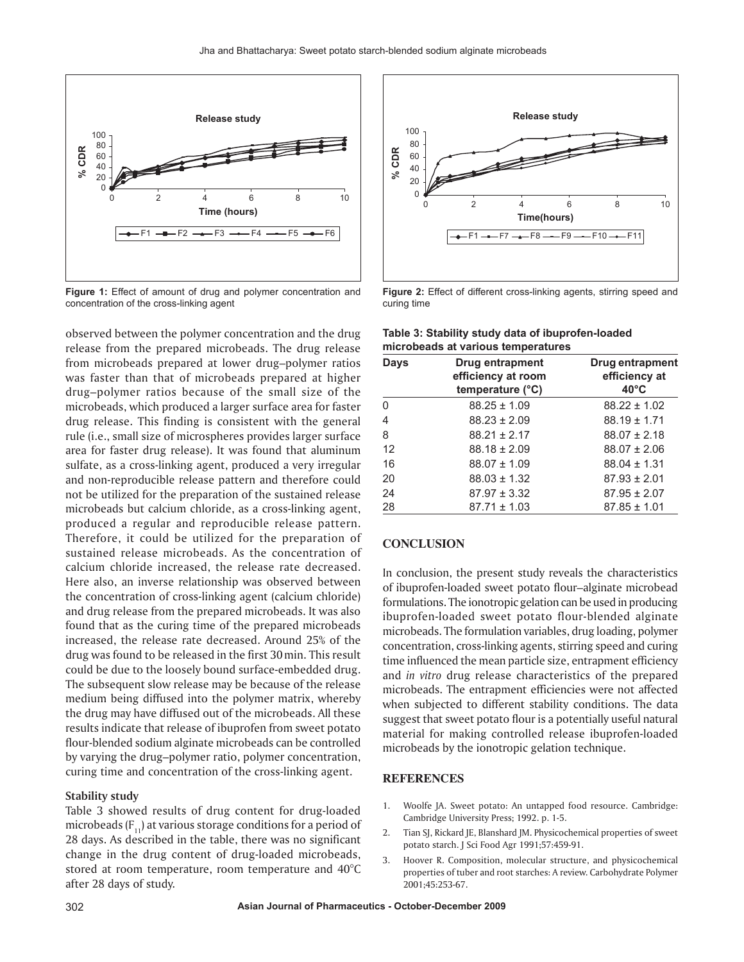

Figure 1: Effect of amount of drug and polymer concentration and concentration of the cross-linking agent

observed between the polymer concentration and the drug release from the prepared microbeads. The drug release from microbeads prepared at lower drug–polymer ratios was faster than that of microbeads prepared at higher drug–polymer ratios because of the small size of the microbeads, which produced a larger surface area for faster drug release. This finding is consistent with the general rule (i.e., small size of microspheres provides larger surface area for faster drug release). It was found that aluminum sulfate, as a cross-linking agent, produced a very irregular and non-reproducible release pattern and therefore could not be utilized for the preparation of the sustained release microbeads but calcium chloride, as a cross-linking agent, produced a regular and reproducible release pattern. Therefore, it could be utilized for the preparation of sustained release microbeads. As the concentration of calcium chloride increased, the release rate decreased. Here also, an inverse relationship was observed between the concentration of cross-linking agent (calcium chloride) and drug release from the prepared microbeads. It was also found that as the curing time of the prepared microbeads increased, the release rate decreased. Around 25% of the drug was found to be released in the first 30min. This result could be due to the loosely bound surface-embedded drug. The subsequent slow release may be because of the release medium being diffused into the polymer matrix, whereby the drug may have diffused out of the microbeads. All these results indicate that release of ibuprofen from sweet potato flour-blended sodium alginate microbeads can be controlled by varying the drug–polymer ratio, polymer concentration, curing time and concentration of the cross-linking agent.

#### **Stability study**

Table 3 showed results of drug content for drug-loaded microbeads  $(F_{11})$  at various storage conditions for a period of 28 days. As described in the table, there was no significant change in the drug content of drug-loaded microbeads, stored at room temperature, room temperature and 40°C after 28 days of study.



**Figure 2:** Effect of different cross-linking agents, stirring speed and curing time

**Table 3: Stability study data of ibuprofen-loaded microbeads at various temperatures**

| Days | Drug entrapment<br>efficiency at room<br>temperature (°C) | Drug entrapment<br>efficiency at<br>$40^{\circ}$ C |
|------|-----------------------------------------------------------|----------------------------------------------------|
| 0    | $88.25 \pm 1.09$                                          | $88.22 \pm 1.02$                                   |
| 4    | $88.23 \pm 2.09$                                          | $88.19 \pm 1.71$                                   |
| 8    | $88.21 \pm 2.17$                                          | $88.07 \pm 2.18$                                   |
| 12   | $88.18 \pm 2.09$                                          | $88.07 \pm 2.06$                                   |
| 16   | $88.07 \pm 1.09$                                          | $88.04 \pm 1.31$                                   |
| 20   | $88.03 \pm 1.32$                                          | $87.93 \pm 2.01$                                   |
| 24   | $87.97 \pm 3.32$                                          | $87.95 \pm 2.07$                                   |
| 28   | $87.71 \pm 1.03$                                          | $87.85 \pm 1.01$                                   |

## **CONCLUSION**

In conclusion, the present study reveals the characteristics of ibuprofen-loaded sweet potato flour–alginate microbead formulations. The ionotropic gelation can be used in producing ibuprofen-loaded sweet potato flour-blended alginate microbeads. The formulation variables, drug loading, polymer concentration, cross-linking agents, stirring speed and curing time influenced the mean particle size, entrapment efficiency and *in vitro* drug release characteristics of the prepared microbeads. The entrapment efficiencies were not affected when subjected to different stability conditions. The data suggest that sweet potato flour is a potentially useful natural material for making controlled release ibuprofen-loaded microbeads by the ionotropic gelation technique.

#### **REFERENCES**

- 1. Woolfe JA. Sweet potato: An untapped food resource. Cambridge: Cambridge University Press; 1992. p. 1-5.
- 2. Tian SJ, Rickard JE, Blanshard JM. Physicochemical properties of sweet potato starch. J Sci Food Agr 1991;57:459-91.
- 3. Hoover R. Composition, molecular structure, and physicochemical properties of tuber and root starches: A review. Carbohydrate Polymer 2001;45:253-67.